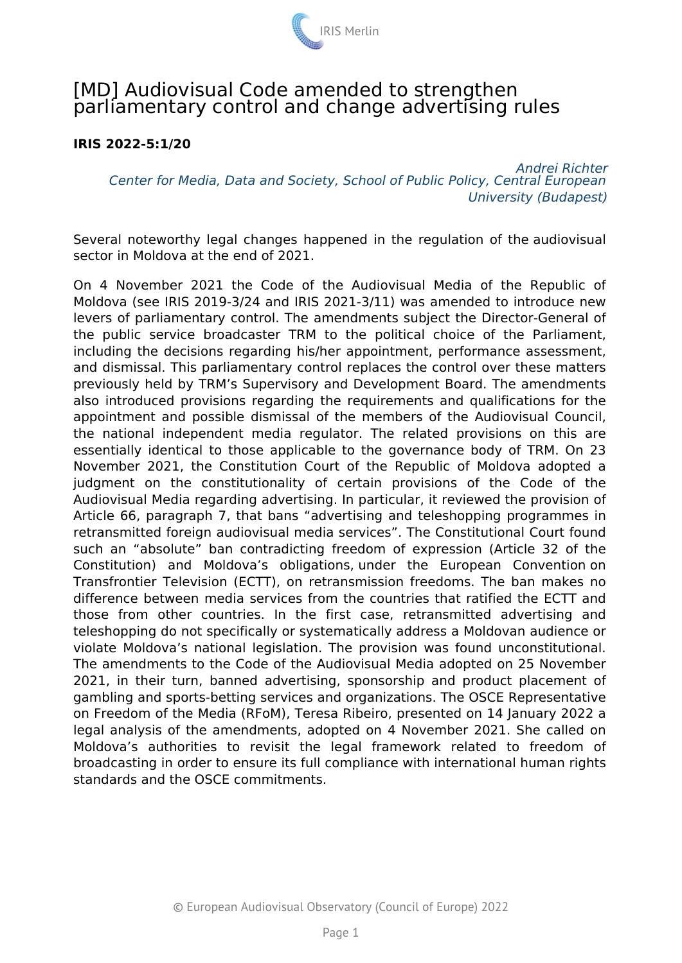

# [MD] Audiovisual Code amended to strengthen parliamentary control and change advertising rules

# **IRIS 2022-5:1/20**

*Andrei Richter Center for Media, Data and Society, School of Public Policy, Central European University (Budapest)*

Several noteworthy legal changes happened in the regulation of the audiovisual sector in Moldova at the end of 2021.

On 4 November 2021 the Code of the Audiovisual Media of the Republic of Moldova (see IRIS 2019-3/24 and IRIS 2021-3/11) was amended to introduce new levers of parliamentary control. The amendments subject the Director-General of the public service broadcaster TRM to the political choice of the Parliament, including the decisions regarding his/her appointment, performance assessment, and dismissal. This parliamentary control replaces the control over these matters previously held by TRM's Supervisory and Development Board. The amendments also introduced provisions regarding the requirements and qualifications for the appointment and possible dismissal of the members of the Audiovisual Council, the national independent media regulator. The related provisions on this are essentially identical to those applicable to the governance body of TRM. On 23 November 2021, the Constitution Court of the Republic of Moldova adopted a judgment on the constitutionality of certain provisions of the Code of the Audiovisual Media regarding advertising. In particular, it reviewed the provision of Article 66, paragraph 7, that bans "advertising and teleshopping programmes in retransmitted foreign audiovisual media services". The Constitutional Court found such an "absolute" ban contradicting freedom of expression (Article 32 of the Constitution) and Moldova's obligations, under the European Convention on Transfrontier Television (ECTT), on retransmission freedoms. The ban makes no difference between media services from the countries that ratified the ECTT and those from other countries. In the first case, retransmitted advertising and teleshopping do not specifically or systematically address a Moldovan audience or violate Moldova's national legislation. The provision was found unconstitutional. The amendments to the Code of the Audiovisual Media adopted on 25 November 2021, in their turn, banned advertising, sponsorship and product placement of gambling and sports-betting services and organizations. The OSCE Representative on Freedom of the Media (RFoM), Teresa Ribeiro, presented on 14 January 2022 a legal analysis of the amendments, adopted on 4 November 2021. She called on Moldova's authorities to revisit the legal framework related to freedom of broadcasting in order to ensure its full compliance with international human rights standards and the OSCE commitments.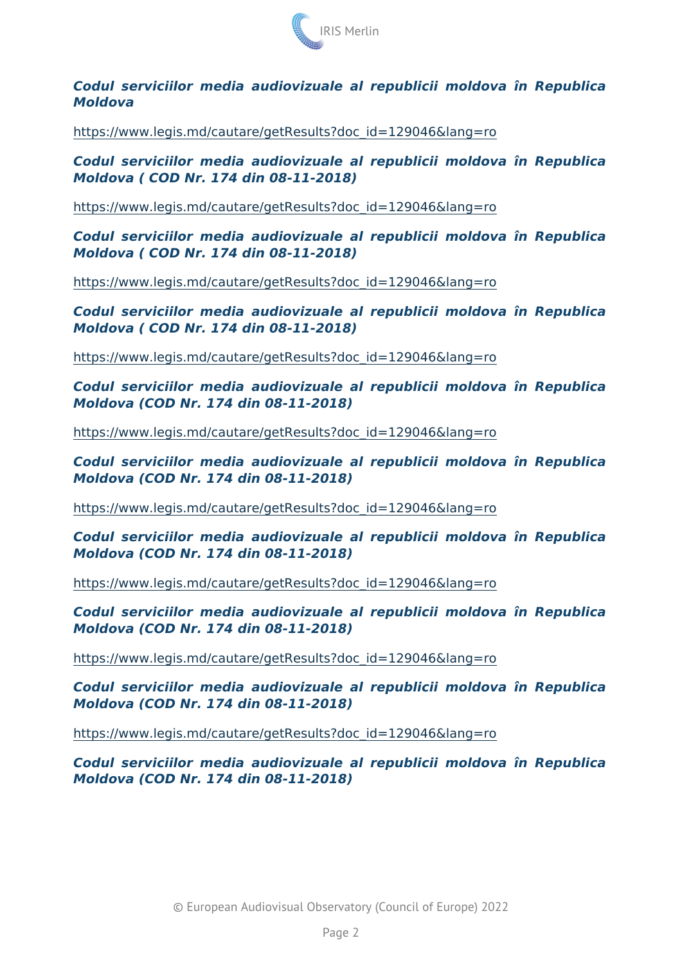Codul serviciilor media audiovizuale al republicii moldova în Moldova

[https://www.legis.md/cautare/getResults?doc\\_id](https://www.legis.md/cautare/getResults?doc_id=129046&lang=ro)=129046&lang=ro

Codul serviciilor media audiovizuale al republicii moldova în Moldova ( COD Nr. 174 din 08-11-2018)

[https://www.legis.md/cautare/getResults?doc\\_id](https://www.legis.md/cautare/getResults?doc_id=129046&lang=ro)=129046&lang=ro

Codul serviciilor media audiovizuale al republicii moldova în Moldova ( COD Nr. 174 din 08-11-2018)

[https://www.legis.md/cautare/getResults?doc\\_id](https://www.legis.md/cautare/getResults?doc_id=129046&lang=ro)=129046&lang=ro

Codul serviciilor media audiovizuale al republicii moldova în Moldova ( COD Nr. 174 din 08-11-2018)

[https://www.legis.md/cautare/getResults?doc\\_id](https://www.legis.md/cautare/getResults?doc_id=129046&lang=ro)=129046&lang=ro

Codul serviciilor media audiovizuale al republicii moldova în Moldova (COD Nr. 174 din 08-11-2018)

[https://www.legis.md/cautare/getResults?doc\\_id](https://www.legis.md/cautare/getResults?doc_id=129046&lang=ro)=129046&lang=ro

Codul serviciilor media audiovizuale al republicii moldova în Moldova (COD Nr. 174 din 08-11-2018)

[https://www.legis.md/cautare/getResults?doc\\_id](https://www.legis.md/cautare/getResults?doc_id=129046&lang=ro)=129046&lang=ro

Codul serviciilor media audiovizuale al republicii moldova în Moldova (COD Nr. 174 din 08-11-2018)

[https://www.legis.md/cautare/getResults?doc\\_id](https://www.legis.md/cautare/getResults?doc_id=129046&lang=ro)=129046&lang=ro

Codul serviciilor media audiovizuale al republicii moldova în Moldova (COD Nr. 174 din 08-11-2018)

[https://www.legis.md/cautare/getResults?doc\\_id](https://www.legis.md/cautare/getResults?doc_id=129046&lang=ro)=129046&lang=ro

Codul serviciilor media audiovizuale al republicii moldova în Moldova (COD Nr. 174 din 08-11-2018)

[https://www.legis.md/cautare/getResults?doc\\_id](https://www.legis.md/cautare/getResults?doc_id=129046&lang=ro)=129046&lang=ro

Codul serviciilor media audiovizuale al republicii moldova în Moldova (COD Nr. 174 din 08-11-2018)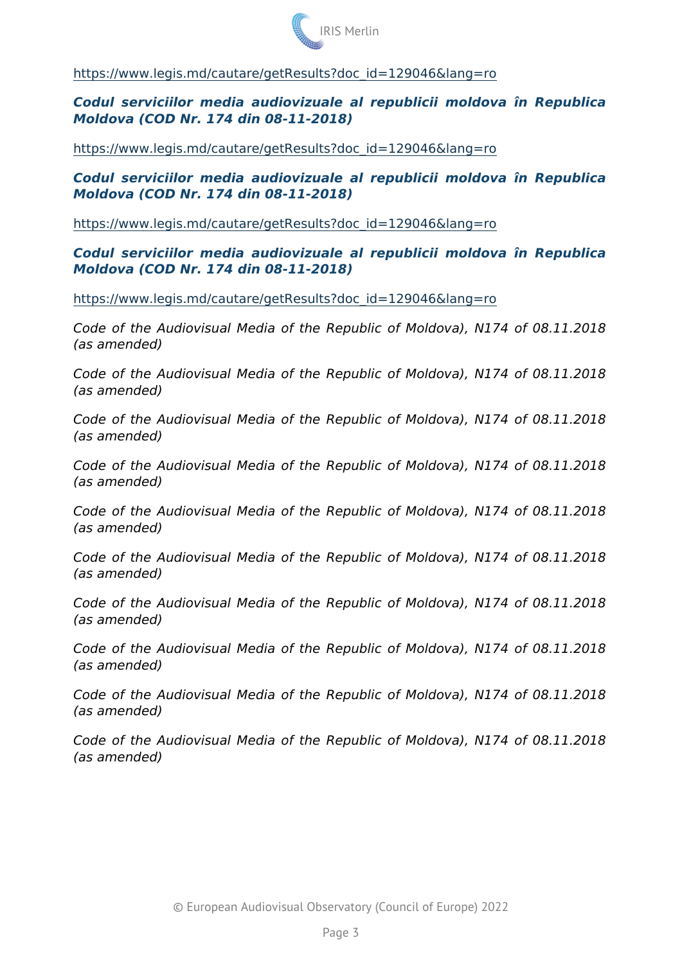[https://www.legis.md/cautare/getResults?doc\\_id](https://www.legis.md/cautare/getResults?doc_id=129046&lang=ro)=129046&lang=ro

Codul serviciilor media audiovizuale al republicii moldova în Moldova (COD Nr. 174 din 08-11-2018)

[https://www.legis.md/cautare/getResults?doc\\_id](https://www.legis.md/cautare/getResults?doc_id=129046&lang=ro)=129046&lang=ro

Codul serviciilor media audiovizuale al republicii moldova în Moldova (COD Nr. 174 din 08-11-2018)

[https://www.legis.md/cautare/getResults?doc\\_id](https://www.legis.md/cautare/getResults?doc_id=129046&lang=ro)=129046&lang=ro

Codul serviciilor media audiovizuale al republicii moldova în Moldova (COD Nr. 174 din 08-11-2018)

[https://www.legis.md/cautare/getResults?doc\\_id](https://www.legis.md/cautare/getResults?doc_id=129046&lang=ro)=129046&lang=ro

Code of the Audiovisual Media of the Republic of Moldova), N1 (as amended)þÿ

Code of the Audiovisual Media of the Republic of Moldova), N1 (as amended)þÿ

Code of the Audiovisual Media of the Republic of Moldova), N1 (as amended)þÿ

Code of the Audiovisual Media of the Republic of Moldova), N1 (as amended)þÿ

Code of the Audiovisual Media of the Republic of Moldova), N1 (as amended)þÿ

Code of the Audiovisual Media of the Republic of Moldova), N1 (as amended)þÿ

Code of the Audiovisual Media of the Republic of Moldova), N1 (as amended)þÿ

Code of the Audiovisual Media of the Republic of Moldova), N1 (as amended)þÿ

Code of the Audiovisual Media of the Republic of Moldova). N1 (as amended)þÿ

Code of the Audiovisual Media of the Republic of Moldova), N1 (as amended)þÿ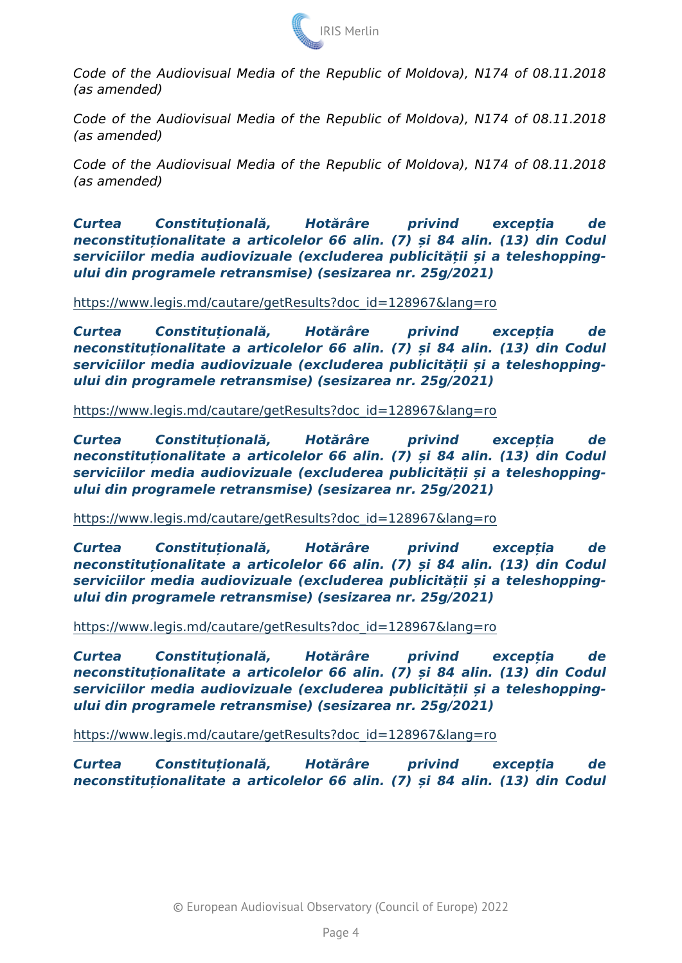Code of the Audiovisual Media of the Republic of Moldova), N1 (as amended)þÿ

Code of the Audiovisual Media of the Republic of Moldova), N1 (as amended)þÿ

Code of the Audiovisual Media of the Republic of Moldova), N1 (as amended)þÿ

Curtea Constitu-ional, Hot-râre privind neconstitu ionalitate a articolelor 66 alin. (7) i 84 alin. (13) serviciilor media audiovizuale (excluderea publicit ii i a telesh ului din programele retransmise) (sesizarea nr. 25g/2021)

# [https://www.legis.md/cautare/getResults?doc\\_id](https://www.legis.md/cautare/getResults?doc_id=128967&lang=ro)=128967&lang=ro

Curtea Constitu ional, Hotrâre privind neconstitu ionalitate a articolelor 66 alin. (7) i 84 alin. (13) serviciilor media audiovizuale (excluderea publicit ii i a telesh ului din programele retransmise) (sesizarea nr. 25g/2021)

#### [https://www.legis.md/cautare/getResults?doc\\_id](https://www.legis.md/cautare/getResults?doc_id=128967&lang=ro)=128967&lang=ro

Curtea Constitu-ional, Hot-râre privind neconstitu ionalitate a articolelor 66 alin. (7) i 84 alin. (13) serviciilor media audiovizuale (excluderea publicit ii i a telesh ului din programele retransmise) (sesizarea nr. 25g/2021)

### [https://www.legis.md/cautare/getResults?doc\\_id](https://www.legis.md/cautare/getResults?doc_id=128967&lang=ro)=128967&lang=ro

Curtea Constitu-ional, Hot-râre privind neconstitu ionalitate a articolelor 66 alin. (7) i 84 alin. (13) serviciilor media audiovizuale (excluderea publicit ii i a telesh ului din programele retransmise) (sesizarea nr. 25g/2021)

# [https://www.legis.md/cautare/getResults?doc\\_id](https://www.legis.md/cautare/getResults?doc_id=128967&lang=ro)=128967&lang=ro

Curtea Constitu-ional, Hot-râre privind neconstitu ionalitate a articolelor 66 alin. (7) i 84 alin. (13) serviciilor media audiovizuale (excluderea publicit ii i a telesh ului din programele retransmise) (sesizarea nr. 25g/2021)

#### [https://www.legis.md/cautare/getResults?doc\\_id](https://www.legis.md/cautare/getResults?doc_id=128967&lang=ro)=128967&lang=ro

Curtea Constitu ional, ional, Hotrâre exprivind neconstitu ionalitate a articolelor 66 alin. (7) i 84 alin. (13)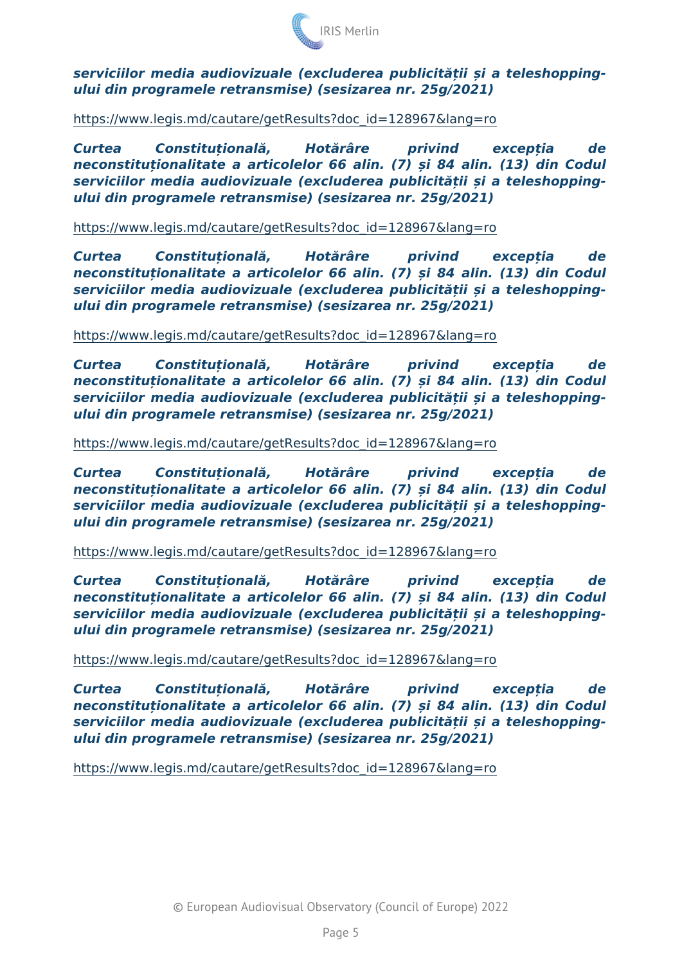serviciilor media audiovizuale (excluderea publicit ii i a telesh ului din programele retransmise) (sesizarea nr. 25g/2021)

# [https://www.legis.md/cautare/getResults?doc\\_id](https://www.legis.md/cautare/getResults?doc_id=128967&lang=ro)=128967&lang=ro

Curtea Constituional, Hotrâre privind neconstitu ionalitate a articolelor 66 alin. (7) i 84 alin. (13) serviciilor media audiovizuale (excluderea publicit ii i a telesh ului din programele retransmise) (sesizarea nr. 25g/2021)

### [https://www.legis.md/cautare/getResults?doc\\_id](https://www.legis.md/cautare/getResults?doc_id=128967&lang=ro)=128967&lang=ro

Curtea Constituional, Hotrâre privind neconstitu ionalitate a articolelor 66 alin. (7) i 84 alin. (13) serviciilor media audiovizuale (excluderea publicit ii i a telesh ului din programele retransmise) (sesizarea nr. 25g/2021)

### [https://www.legis.md/cautare/getResults?doc\\_id](https://www.legis.md/cautare/getResults?doc_id=128967&lang=ro)=128967&lang=ro

Curtea C Constitutional, Hotrâre privind neconstitu ionalitate a articolelor 66 alin. (7) i 84 alin. (13) serviciilor media audiovizuale (excluderea publicit ii i a telesh ului din programele retransmise) (sesizarea nr. 25g/2021)

### [https://www.legis.md/cautare/getResults?doc\\_id](https://www.legis.md/cautare/getResults?doc_id=128967&lang=ro)=128967&lang=ro

Curtea Constitu-ional, Hot-râre privind neconstitu ionalitate a articolelor 66 alin. (7) i 84 alin. (13) serviciilor media audiovizuale (excluderea publicit ii i a telesh ului din programele retransmise) (sesizarea nr. 25g/2021)

### [https://www.legis.md/cautare/getResults?doc\\_id](https://www.legis.md/cautare/getResults?doc_id=128967&lang=ro)=128967&lang=ro

Curtea Constitu-ional, Hot-râre privind neconstitu ionalitate a articolelor 66 alin. (7) i 84 alin. (13) serviciilor media audiovizuale (excluderea publicit ii i a telesh ului din programele retransmise) (sesizarea nr. 25g/2021)

# [https://www.legis.md/cautare/getResults?doc\\_id](https://www.legis.md/cautare/getResults?doc_id=128967&lang=ro)=128967&lang=ro

Curtea Constituional, Hotrâre privind neconstitu ionalitate a articolelor 66 alin. (7) i 84 alin. (13) serviciilor media audiovizuale (excluderea publicit ii i a telesh ului din programele retransmise) (sesizarea nr. 25g/2021)

# [https://www.legis.md/cautare/getResults?doc\\_id](https://www.legis.md/cautare/getResults?doc_id=128967&lang=ro)=128967&lang=ro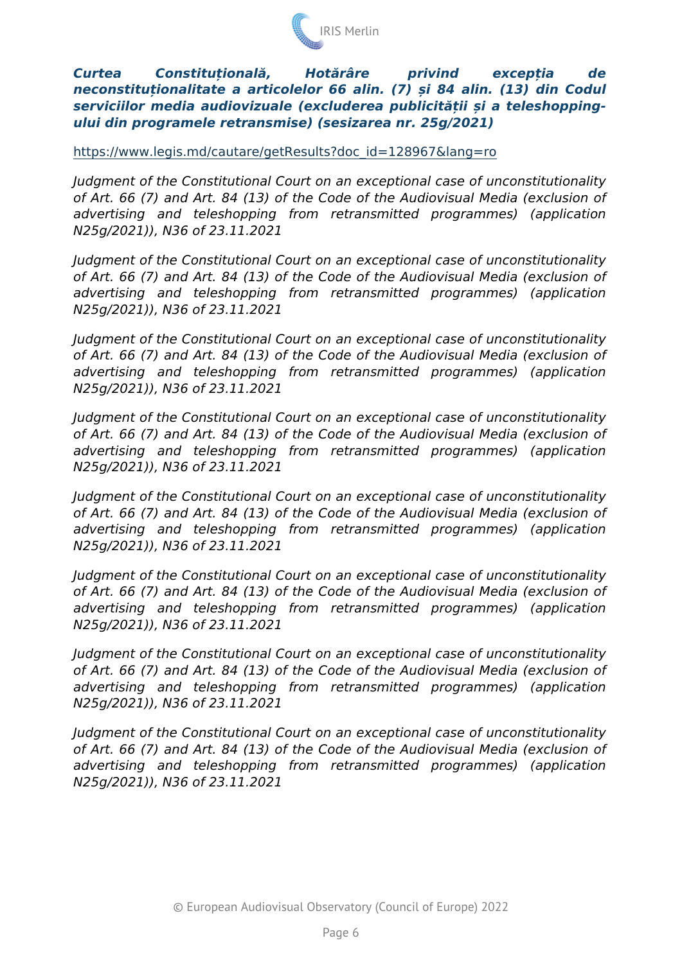Curtea Constituional, Hotrâre privind neconstitu ionalitate a articolelor 66 alin. (7) i 84 alin. (13) serviciilor media audiovizuale (excluderea publicit ii i a telesh ului din programele retransmise) (sesizarea nr. 25g/2021)

### [https://www.legis.md/cautare/getResults?doc\\_id](https://www.legis.md/cautare/getResults?doc_id=128967&lang=ro)=128967&lang=ro

Judgment of the Constitutional Court on an exceptional case of u of Art. 66 (7) and Art. 84 (13) of the Code of the Audiovisual  $N$ advertising and teleshopping from retransmitted programm N25g/2021)), N36 of 23.11.2021

Judgment of the Constitutional Court on an exceptional case of u of Art. 66 (7) and Art. 84 (13) of the Code of the Audiovisual  $N$ advertising and teleshopping from retransmitted programm N25g/2021)), N36 of 23.11.2021

Judgment of the Constitutional Court on an exceptional case of u of Art. 66 (7) and Art. 84 (13) of the Code of the Audiovisual N advertising and teleshopping from retransmitted programm N25g/2021)), N36 of 23.11.2021

Judgment of the Constitutional Court on an exceptional case of u of Art. 66 (7) and Art. 84 (13) of the Code of the Audiovisual N advertising and teleshopping from retransmitted programm N25g/2021)), N36 of 23.11.2021

Judgment of the Constitutional Court on an exceptional case of u of Art. 66 (7) and Art. 84 (13) of the Code of the Audiovisual N advertising and teleshopping from retransmitted programm N25g/2021)), N36 of 23.11.2021

Judgment of the Constitutional Court on an exceptional case of u of Art. 66 (7) and Art. 84 (13) of the Code of the Audiovisual N advertising and teleshopping from retransmitted programm N25g/2021)), N36 of 23.11.2021

Judgment of the Constitutional Court on an exceptional case of u of Art. 66 (7) and Art. 84 (13) of the Code of the Audiovisual  $N$ advertising and teleshopping from retransmitted programm N25g/2021)), N36 of 23.11.2021

Judgment of the Constitutional Court on an exceptional case of u of Art. 66 (7) and Art. 84 (13) of the Code of the Audiovisual  $N$ advertising and teleshopping from retransmitted programm N25g/2021)), N36 of 23.11.2021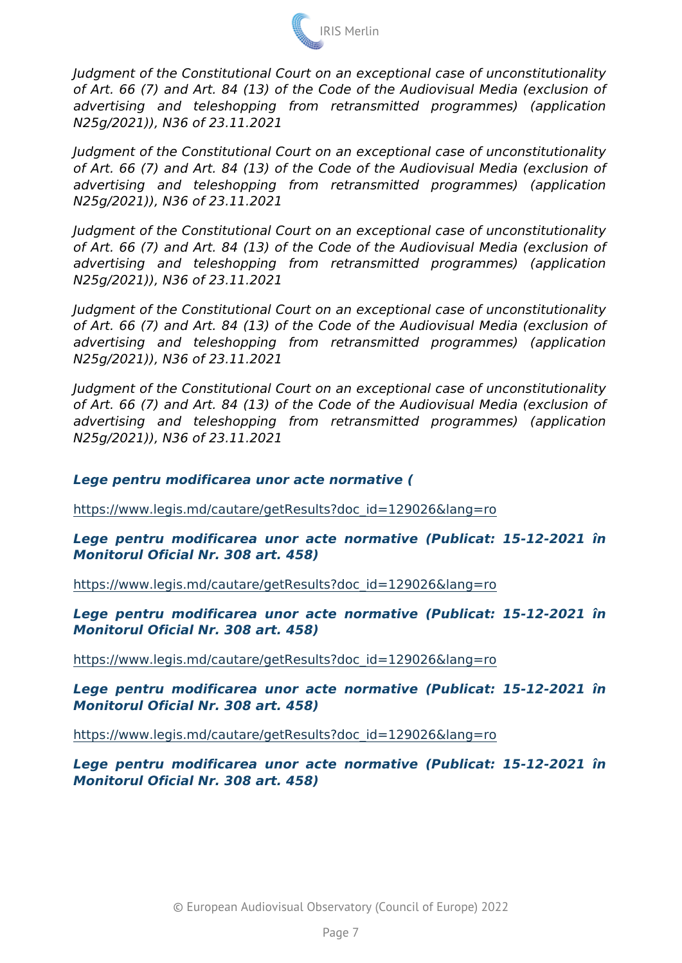Judgment of the Constitutional Court on an exceptional case of u of Art. 66 (7) and Art. 84 (13) of the Code of the Audiovisual M advertising and teleshopping from retransmitted programm N25g/2021)), N36 of 23.11.2021

Judgment of the Constitutional Court on an exceptional case of u of Art. 66 (7) and Art. 84 (13) of the Code of the Audiovisual  $N$ advertising and teleshopping from retransmitted programm N25g/2021)), N36 of 23.11.2021

Judgment of the Constitutional Court on an exceptional case of u of Art. 66 (7) and Art. 84 (13) of the Code of the Audiovisual N advertising and teleshopping from retransmitted programm N25g/2021)), N36 of 23.11.2021

Judgment of the Constitutional Court on an exceptional case of u of Art. 66 (7) and Art. 84 (13) of the Code of the Audiovisual M advertising and teleshopping from retransmitted programm N25g/2021)), N36 of 23.11.2021

Judgment of the Constitutional Court on an exceptional case of u of Art. 66 (7) and Art. 84 (13) of the Code of the Audiovisual N advertising and teleshopping from retransmitted programm N25g/2021)), N36 of 23.11.2021

Lege pentru modificarea unor acte normative (

[https://www.legis.md/cautare/getResults?doc\\_id](https://www.legis.md/cautare/getResults?doc_id=129026&lang=ro)=129026&lang=ro

Lege pentru modificarea unor acte normative (Publicat: 15-12 Monitorul Oficial Nr. 308 art. 458)

[https://www.legis.md/cautare/getResults?doc\\_id](https://www.legis.md/cautare/getResults?doc_id=129026&lang=ro)=129026&lang=ro

Lege pentru modificarea unor acte normative (Publicat: 15-12 Monitorul Oficial Nr. 308 art. 458)

[https://www.legis.md/cautare/getResults?doc\\_id](https://www.legis.md/cautare/getResults?doc_id=129026&lang=ro)=129026&lang=ro

Lege pentru modificarea unor acte normative (Publicat: 15-12 Monitorul Oficial Nr. 308 art. 458)

[https://www.legis.md/cautare/getResults?doc\\_id](https://www.legis.md/cautare/getResults?doc_id=129026&lang=ro)=129026&lang=ro

Lege pentru modificarea unor acte normative (Publicat: 15-12 Monitorul Oficial Nr. 308 art. 458)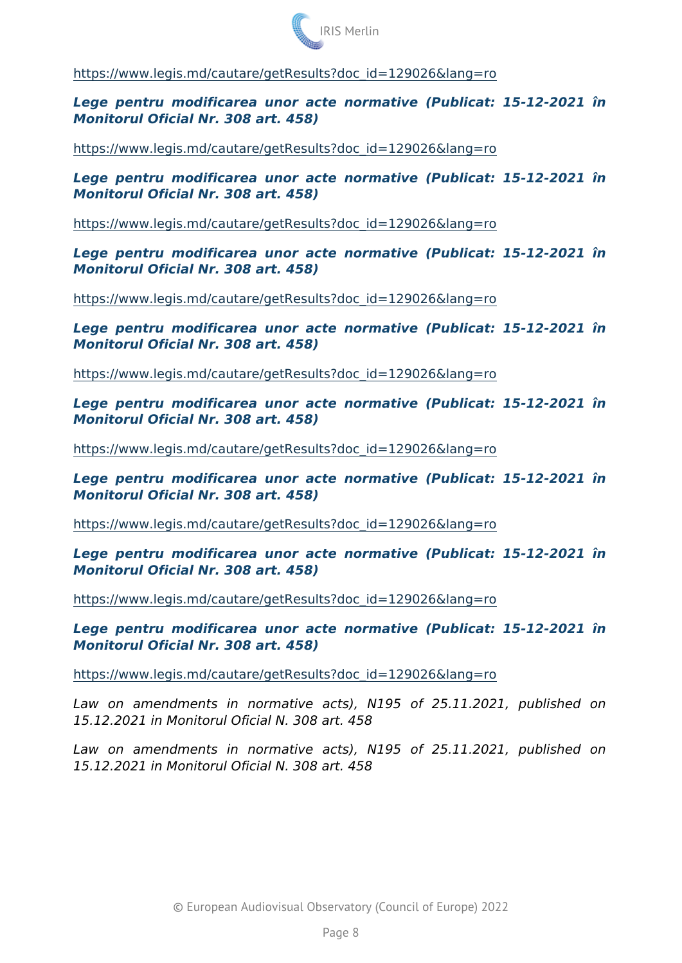[https://www.legis.md/cautare/getResults?doc\\_id](https://www.legis.md/cautare/getResults?doc_id=129026&lang=ro)=129026&lang=ro

Lege pentru modificarea unor acte normative (Publicat: 15-12 Monitorul Oficial Nr. 308 art. 458)

[https://www.legis.md/cautare/getResults?doc\\_id](https://www.legis.md/cautare/getResults?doc_id=129026&lang=ro)=129026&lang=ro

Lege pentru modificarea unor acte normative (Publicat: 15-12 Monitorul Oficial Nr. 308 art. 458)

[https://www.legis.md/cautare/getResults?doc\\_id](https://www.legis.md/cautare/getResults?doc_id=129026&lang=ro)=129026&lang=ro

Lege pentru modificarea unor acte normative (Publicat: 15-12 Monitorul Oficial Nr. 308 art. 458)

[https://www.legis.md/cautare/getResults?doc\\_id](https://www.legis.md/cautare/getResults?doc_id=129026&lang=ro)=129026&lang=ro

Lege pentru modificarea unor acte normative (Publicat: 15-12 Monitorul Oficial Nr. 308 art. 458)

[https://www.legis.md/cautare/getResults?doc\\_id](https://www.legis.md/cautare/getResults?doc_id=129026&lang=ro)=129026&lang=ro

Lege pentru modificarea unor acte normative (Publicat: 15-12 Monitorul Oficial Nr. 308 art. 458)

[https://www.legis.md/cautare/getResults?doc\\_id](https://www.legis.md/cautare/getResults?doc_id=129026&lang=ro)=129026&lang=ro

Lege pentru modificarea unor acte normative (Publicat: 15-12 Monitorul Oficial Nr. 308 art. 458)

[https://www.legis.md/cautare/getResults?doc\\_id](https://www.legis.md/cautare/getResults?doc_id=129026&lang=ro)=129026&lang=ro

Lege pentru modificarea unor acte normative (Publicat: 15-12 Monitorul Oficial Nr. 308 art. 458)

[https://www.legis.md/cautare/getResults?doc\\_id](https://www.legis.md/cautare/getResults?doc_id=129026&lang=ro)=129026&lang=ro

Lege pentru modificarea unor acte normative (Publicat: 15-12 Monitorul Oficial Nr. 308 art. 458)

[https://www.legis.md/cautare/getResults?doc\\_id](https://www.legis.md/cautare/getResults?doc_id=129026&lang=ro)=129026&lang=ro

Law on amendments in normative acts), N195 of 25.11.202 15.12.2021 in Monitorul Oficial N. 308 art. 458

Law on amendments in normative acts), N195 of 25.11.202 15.12.2021 in Monitorul Oficial N. 308 art. 458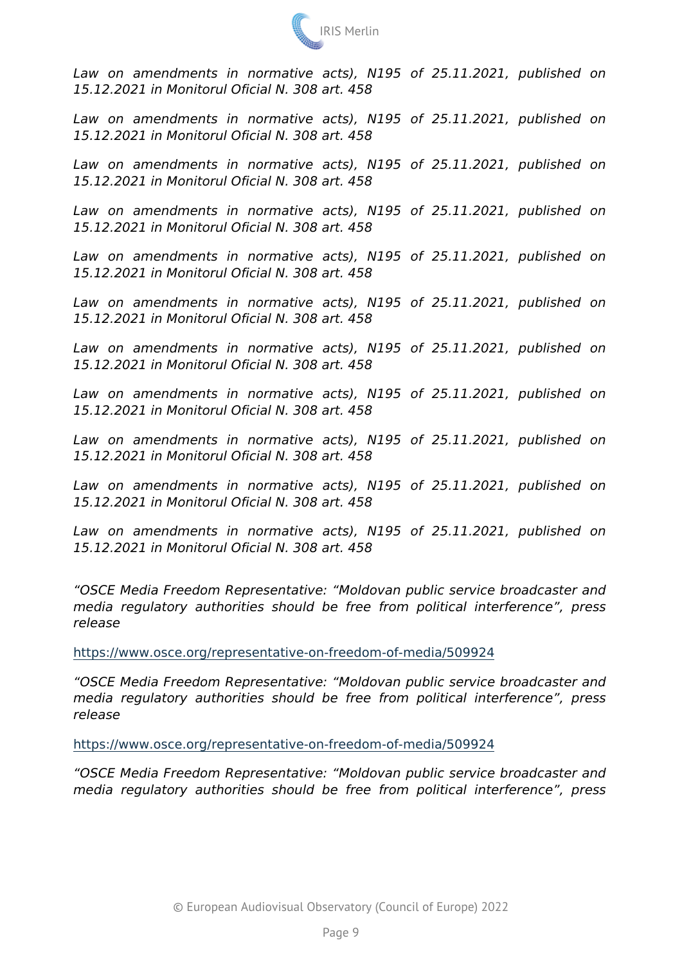Law on amendments in normative acts), N195 of 25.11.202 15.12.2021 in Monitorul Oficial N. 308 art. 458 Law on amendments in normative acts), N195 of 25.11.202 15.12.2021 in Monitorul Oficial N. 308 art. 458 Law on amendments in normative acts), N195 of 25.11.202 15.12.2021 in Monitorul Oficial N. 308 art. 458 Law on amendments in normative acts), N195 of 25.11.202 15.12.2021 in Monitorul Oficial N. 308 art. 458 Law on amendments in normative acts), N195 of 25.11.202 15.12.2021 in Monitorul Oficial N. 308 art. 458 Law on amendments in normative acts), N195 of 25.11.202 15.12.2021 in Monitorul Oficial N. 308 art. 458 Law on amendments in normative acts), N195 of 25.11.202 15.12.2021 in Monitorul Oficial N. 308 art. 458 Law on amendments in normative acts), N195 of 25.11.202 15.12.2021 in Monitorul Oficial N. 308 art. 458 Law on amendments in normative acts), N195 of 25.11.202 15.12.2021 in Monitorul Oficial N. 308 art. 458 Law on amendments in normative acts), N195 of 25.11.202 15.12.2021 in Monitorul Oficial N. 308 art. 458 Law on amendments in normative acts), N195 of 25.11.202

15.12.2021 in Monitorul Oficial N. 308 art. 458

OSCE Media Freedom Representative: Moldovan public service media regulatory authorities should be free from political in release

# [https://www.osce.org/representative-on-freedom](https://www.osce.org/representative-on-freedom-of-media/509924)-of-media/509924

OSCE Media Freedom Representative: Moldovan public service media regulatory authorities should be free from political in release

## [https://www.osce.org/representative-on-freedom](https://www.osce.org/representative-on-freedom-of-media/509924)-of-media/509924

OSCE Media Freedom Representative: Moldovan public service media regulatory authorities should be free from political in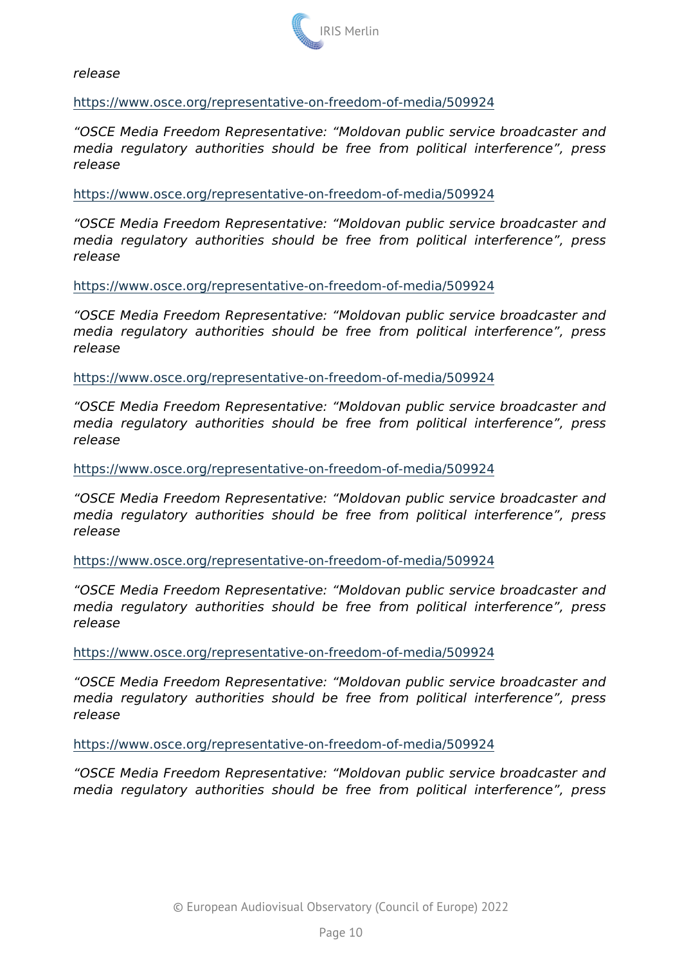release

### [https://www.osce.org/representative-on-freedom](https://www.osce.org/representative-on-freedom-of-media/509924)-of-media/509924

OSCE Media Freedom Representative: Moldovan public service media regulatory authorities should be free from political in release

### [https://www.osce.org/representative-on-freedom](https://www.osce.org/representative-on-freedom-of-media/509924)-of-media/509924

OSCE Media Freedom Representative: Moldovan public service media regulatory authorities should be free from political in release

### [https://www.osce.org/representative-on-freedom](https://www.osce.org/representative-on-freedom-of-media/509924)-of-media/509924

OSCE Media Freedom Representative: Moldovan public service media regulatory authorities should be free from political in release

#### [https://www.osce.org/representative-on-freedom](https://www.osce.org/representative-on-freedom-of-media/509924)-of-media/509924

OSCE Media Freedom Representative: Moldovan public service media regulatory authorities should be free from political in release

### [https://www.osce.org/representative-on-freedom](https://www.osce.org/representative-on-freedom-of-media/509924)-of-media/509924

OSCE Media Freedom Representative: Moldovan public service media regulatory authorities should be free from political in release

### [https://www.osce.org/representative-on-freedom](https://www.osce.org/representative-on-freedom-of-media/509924)-of-media/509924

OSCE Media Freedom Representative: Moldovan public service media regulatory authorities should be free from political in release

### [https://www.osce.org/representative-on-freedom](https://www.osce.org/representative-on-freedom-of-media/509924)-of-media/509924

OSCE Media Freedom Representative: Moldovan public service media regulatory authorities should be free from political in release

### [https://www.osce.org/representative-on-freedom](https://www.osce.org/representative-on-freedom-of-media/509924)-of-media/509924

OSCE Media Freedom Representative: Moldovan public service media regulatory authorities should be free from political in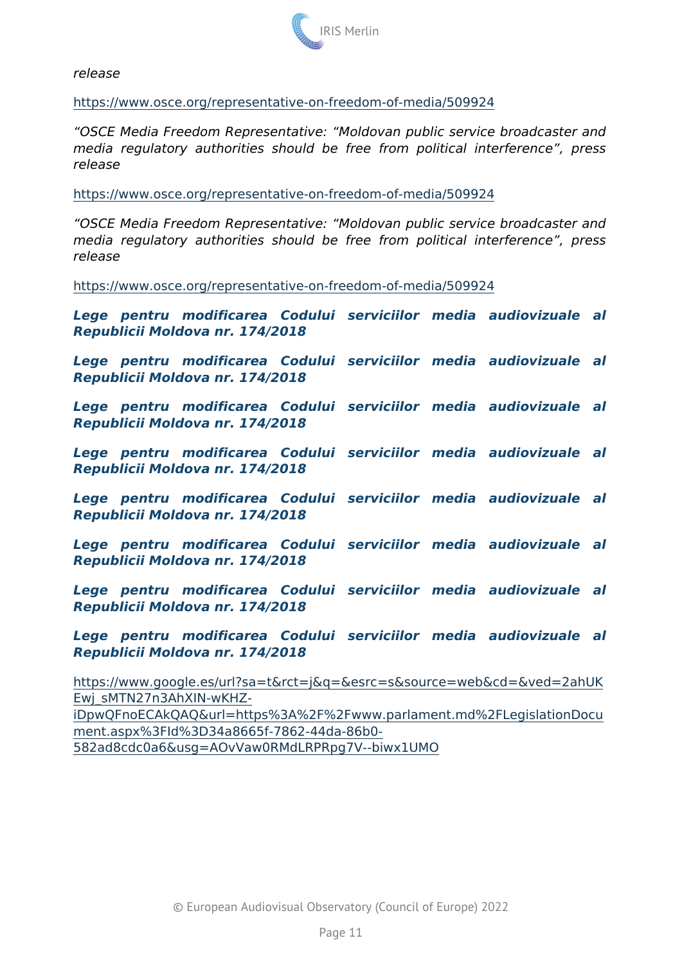release

#### [https://www.osce.org/representative-on-freedom](https://www.osce.org/representative-on-freedom-of-media/509924)-of-media/509924

OSCE Media Freedom Representative: Moldovan public service media regulatory authorities should be free from political in release

### [https://www.osce.org/representative-on-freedom](https://www.osce.org/representative-on-freedom-of-media/509924)-of-media/509924

OSCE Media Freedom Representative: Moldovan public service media regulatory authorities should be free from political in release

### [https://www.osce.org/representative-on-freedom](https://www.osce.org/representative-on-freedom-of-media/509924)-of-media/509924

|  | Lege pentru modificarea Codului serviciilor media audic<br>Republicii Moldova nr. 174/2018 |  |       |
|--|--------------------------------------------------------------------------------------------|--|-------|
|  | Lege pentru modificarea Codului serviciilor media audic<br>Republicii Moldova nr. 174/2018 |  |       |
|  | Lege pentru modificarea Codului serviciilor media<br>Republicii Moldova nr. 174/2018       |  | audio |
|  | Lege pentru modificarea Codului serviciilor media audio<br>Republicii Moldova nr. 174/2018 |  |       |
|  | Lege pentru modificarea Codului serviciilor media audic<br>Republicii Moldova nr. 174/2018 |  |       |
|  | Lege pentru modificarea Codului serviciilor media audio<br>Republicii Moldova nr. 174/2018 |  |       |
|  | Lege pentru modificarea Codului serviciilor media audic<br>Republicii Moldova nr. 174/2018 |  |       |
|  | Lege pentru modificarea Codului serviciilor media<br>Republicii Moldova nr. 174/2018       |  | audio |
|  | https://www.google.es/url?sa=t&rct=j&q=&esrc=s&source=web&cd=&                             |  |       |
|  | Ewj_sMTN27n3AhXIN-wKHZ-                                                                    |  |       |
|  | iDpwQFnoECAkQAQ&url=https%3A%2F%2Fwww.parlament.md%2FLeg                                   |  |       |

[ment.aspx%3FId%3D34a8665f-7862](https://www.google.es/url?sa=t&rct=j&q=&esrc=s&source=web&cd=&ved=2ahUKEwj_sMTN27n3AhXIN-wKHZ-iDpwQFnoECAkQAQ&url=https://www.parlament.md/LegislationDocument.aspx?Id=34a8665f-7862-44da-86b0-582ad8cdc0a6&usg=AOvVaw0RMdLRPRpg7V--biwx1UMO)-44da-86b0-

[582ad8cdc0a6&usg=AOvVaw0RMdLRPRpg](https://www.google.es/url?sa=t&rct=j&q=&esrc=s&source=web&cd=&ved=2ahUKEwj_sMTN27n3AhXIN-wKHZ-iDpwQFnoECAkQAQ&url=https://www.parlament.md/LegislationDocument.aspx?Id=34a8665f-7862-44da-86b0-582ad8cdc0a6&usg=AOvVaw0RMdLRPRpg7V--biwx1UMO)7V--biwx1UMO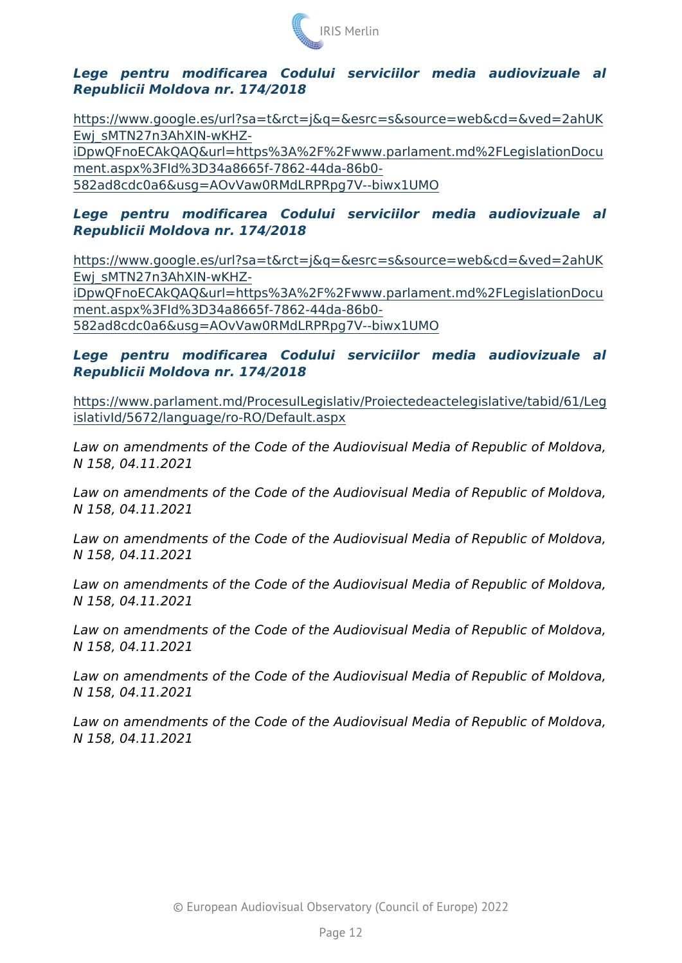Lege pentru modificarea Codului serviciilor media audio Republicii Moldova nr. 174/2018

[https://www.google.es/url?sa=t&rct=j&q=&esrc=s&source=w](https://www.google.es/url?sa=t&rct=j&q=&esrc=s&source=web&cd=&ved=2ahUKEwj_sMTN27n3AhXIN-wKHZ-iDpwQFnoECAkQAQ&url=https://www.parlament.md/LegislationDocument.aspx?Id=34a8665f-7862-44da-86b0-582ad8cdc0a6&usg=AOvVaw0RMdLRPRpg7V--biwx1UMO)eb&cd=& [Ewj\\_sMTN27n3AhXIN](https://www.google.es/url?sa=t&rct=j&q=&esrc=s&source=web&cd=&ved=2ahUKEwj_sMTN27n3AhXIN-wKHZ-iDpwQFnoECAkQAQ&url=https://www.parlament.md/LegislationDocument.aspx?Id=34a8665f-7862-44da-86b0-582ad8cdc0a6&usg=AOvVaw0RMdLRPRpg7V--biwx1UMO)-wKHZ-

[iDpwQFnoECAkQAQ&url=https%3A%2F%2Fwww.parlament.m](https://www.google.es/url?sa=t&rct=j&q=&esrc=s&source=web&cd=&ved=2ahUKEwj_sMTN27n3AhXIN-wKHZ-iDpwQFnoECAkQAQ&url=https://www.parlament.md/LegislationDocument.aspx?Id=34a8665f-7862-44da-86b0-582ad8cdc0a6&usg=AOvVaw0RMdLRPRpg7V--biwx1UMO)d%2FLeg [ment.aspx%3FId%3D34a8665f-7862](https://www.google.es/url?sa=t&rct=j&q=&esrc=s&source=web&cd=&ved=2ahUKEwj_sMTN27n3AhXIN-wKHZ-iDpwQFnoECAkQAQ&url=https://www.parlament.md/LegislationDocument.aspx?Id=34a8665f-7862-44da-86b0-582ad8cdc0a6&usg=AOvVaw0RMdLRPRpg7V--biwx1UMO)-44da-86b0- [582ad8cdc0a6&usg=AOvVaw0RMdLRPRpg](https://www.google.es/url?sa=t&rct=j&q=&esrc=s&source=web&cd=&ved=2ahUKEwj_sMTN27n3AhXIN-wKHZ-iDpwQFnoECAkQAQ&url=https://www.parlament.md/LegislationDocument.aspx?Id=34a8665f-7862-44da-86b0-582ad8cdc0a6&usg=AOvVaw0RMdLRPRpg7V--biwx1UMO)7V--biwx1UMO

Lege pentru modificarea Codului serviciilor media audio Republicii Moldova nr. 174/2018

[https://www.google.es/url?sa=t&rct=j&q=&esrc=s&source=w](https://www.google.es/url?sa=t&rct=j&q=&esrc=s&source=web&cd=&ved=2ahUKEwj_sMTN27n3AhXIN-wKHZ-iDpwQFnoECAkQAQ&url=https://www.parlament.md/LegislationDocument.aspx?Id=34a8665f-7862-44da-86b0-582ad8cdc0a6&usg=AOvVaw0RMdLRPRpg7V--biwx1UMO)eb&cd=& [Ewj\\_sMTN27n3AhXIN](https://www.google.es/url?sa=t&rct=j&q=&esrc=s&source=web&cd=&ved=2ahUKEwj_sMTN27n3AhXIN-wKHZ-iDpwQFnoECAkQAQ&url=https://www.parlament.md/LegislationDocument.aspx?Id=34a8665f-7862-44da-86b0-582ad8cdc0a6&usg=AOvVaw0RMdLRPRpg7V--biwx1UMO)-wKHZ [iDpwQFnoECAkQAQ&url=https%3A%2F%2Fwww.parlament.m](https://www.google.es/url?sa=t&rct=j&q=&esrc=s&source=web&cd=&ved=2ahUKEwj_sMTN27n3AhXIN-wKHZ-iDpwQFnoECAkQAQ&url=https://www.parlament.md/LegislationDocument.aspx?Id=34a8665f-7862-44da-86b0-582ad8cdc0a6&usg=AOvVaw0RMdLRPRpg7V--biwx1UMO)d%2FLeg [ment.aspx%3FId%3D34a8665f-7862](https://www.google.es/url?sa=t&rct=j&q=&esrc=s&source=web&cd=&ved=2ahUKEwj_sMTN27n3AhXIN-wKHZ-iDpwQFnoECAkQAQ&url=https://www.parlament.md/LegislationDocument.aspx?Id=34a8665f-7862-44da-86b0-582ad8cdc0a6&usg=AOvVaw0RMdLRPRpg7V--biwx1UMO)-44da-86b0- [582ad8cdc0a6&usg=AOvVaw0RMdLRPRpg](https://www.google.es/url?sa=t&rct=j&q=&esrc=s&source=web&cd=&ved=2ahUKEwj_sMTN27n3AhXIN-wKHZ-iDpwQFnoECAkQAQ&url=https://www.parlament.md/LegislationDocument.aspx?Id=34a8665f-7862-44da-86b0-582ad8cdc0a6&usg=AOvVaw0RMdLRPRpg7V--biwx1UMO)7V--biwx1UMO

Lege pentru modificarea Codului serviciilor media audio Republicii Moldova nr. 174/2018

[https://www.parlament.md/ProcesulLegislativ/Proiectedeact](https://www.parlament.md/ProcesulLegislativ/Proiectedeactelegislative/tabid/61/LegislativId/5672/language/ro-RO/Default.aspx)elegislat [islativId/5672/language/ro-RO/](https://www.parlament.md/ProcesulLegislativ/Proiectedeactelegislative/tabid/61/LegislativId/5672/language/ro-RO/Default.aspx)Default.aspx

Law on amendments of the Code of the Audiovisual Media of Repu N 158, 04.11.2021

Law on amendments of the Code of the Audiovisual Media of Repu N 158, 04.11.2021

Law on amendments of the Code of the Audiovisual Media of Repu N 158, 04.11.2021

Law on amendments of the Code of the Audiovisual Media of Repu N 158, 04.11.2021

Law on amendments of the Code of the Audiovisual Media of Repu N 158, 04.11.2021

Law on amendments of the Code of the Audiovisual Media of Repu N 158, 04.11.2021

Law on amendments of the Code of the Audiovisual Media of Repu N 158, 04.11.2021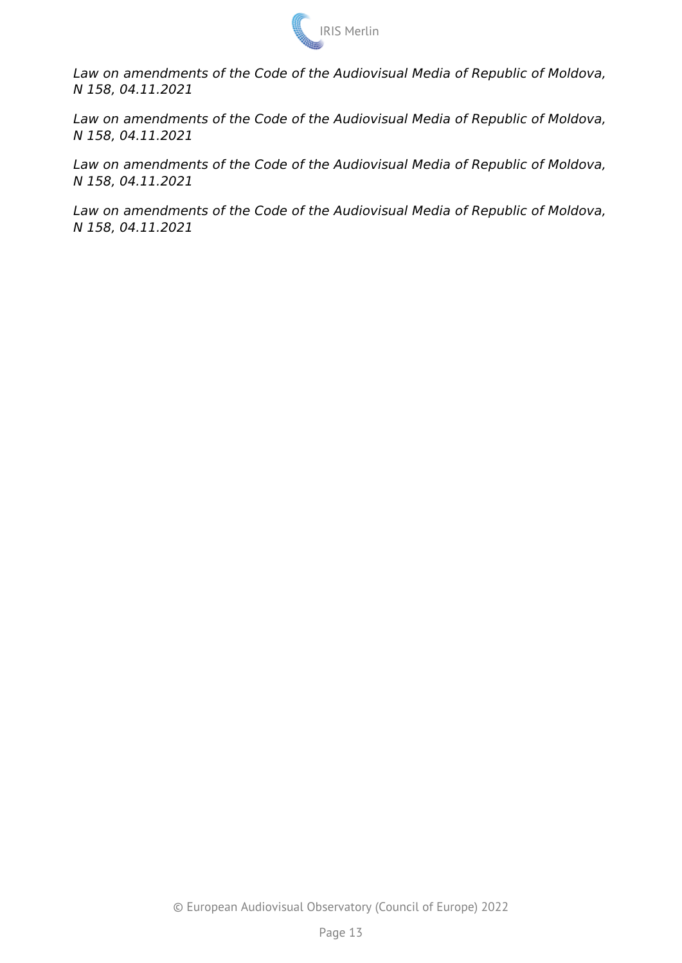

*Law on amendments of the Code of the Audiovisual Media of Republic of Moldova, N 158, 04.11.2021*

*Law on amendments of the Code of the Audiovisual Media of Republic of Moldova, N 158, 04.11.2021*

*Law on amendments of the Code of the Audiovisual Media of Republic of Moldova, N 158, 04.11.2021*

*Law on amendments of the Code of the Audiovisual Media of Republic of Moldova, N 158, 04.11.2021*